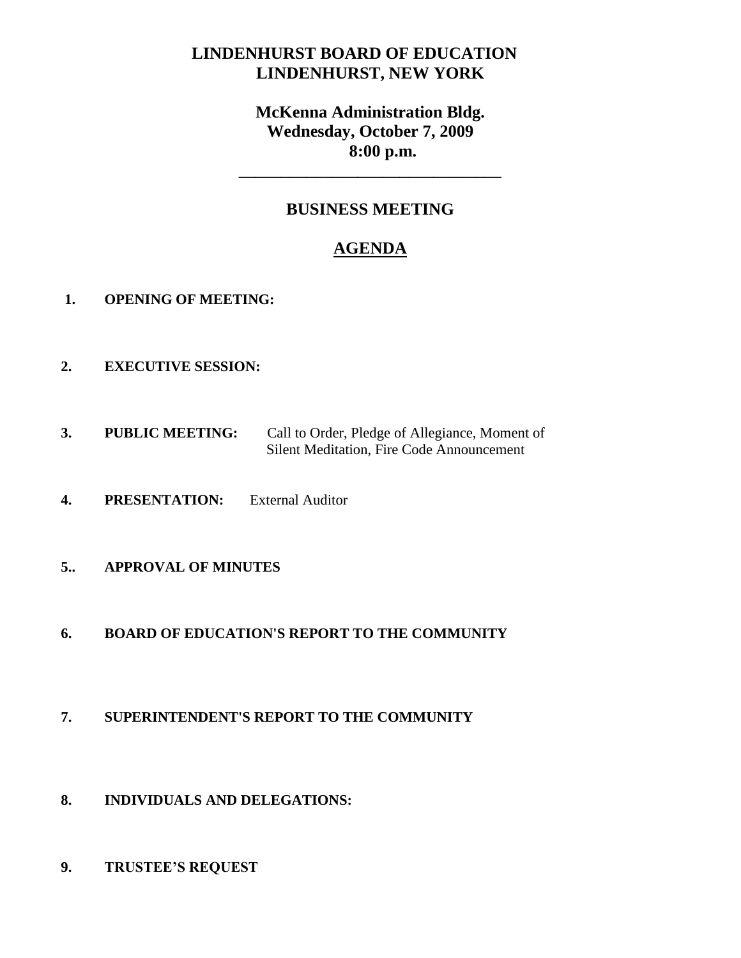# **LINDENHURST BOARD OF EDUCATION LINDENHURST, NEW YORK**

# **McKenna Administration Bldg. Wednesday, October 7, 2009 8:00 p.m.**

**\_\_\_\_\_\_\_\_\_\_\_\_\_\_\_\_\_\_\_\_\_\_\_\_\_\_\_\_\_\_\_**

## **BUSINESS MEETING**

# **AGENDA**

- **1. OPENING OF MEETING:**
- **2. EXECUTIVE SESSION:**
- **3. PUBLIC MEETING:** Call to Order, Pledge of Allegiance, Moment of Silent Meditation, Fire Code Announcement
- **4. PRESENTATION:** External Auditor
- **5.. APPROVAL OF MINUTES**

### **6. BOARD OF EDUCATION'S REPORT TO THE COMMUNITY**

- **7. SUPERINTENDENT'S REPORT TO THE COMMUNITY**
- **8. INDIVIDUALS AND DELEGATIONS:**
- **9. TRUSTEE'S REQUEST**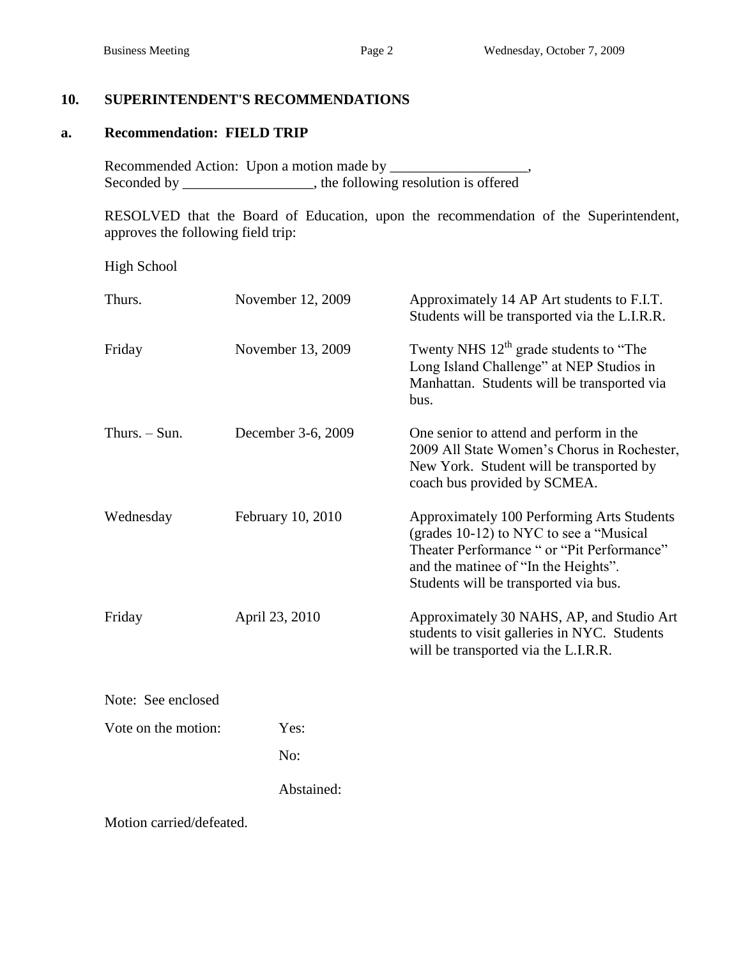## **10. SUPERINTENDENT'S RECOMMENDATIONS**

#### **a. Recommendation: FIELD TRIP**

Recommended Action: Upon a motion made by \_\_\_\_\_\_\_\_\_\_\_\_\_\_\_\_\_\_\_, Seconded by \_\_\_\_\_\_\_\_\_\_\_\_\_, the following resolution is offered

RESOLVED that the Board of Education, upon the recommendation of the Superintendent, approves the following field trip:

High School

| Thurs.              | November 12, 2009  | Approximately 14 AP Art students to F.I.T.<br>Students will be transported via the L.I.R.R.                                                                                                                          |
|---------------------|--------------------|----------------------------------------------------------------------------------------------------------------------------------------------------------------------------------------------------------------------|
| Friday              | November 13, 2009  | Twenty NHS $12th$ grade students to "The<br>Long Island Challenge" at NEP Studios in<br>Manhattan. Students will be transported via<br>bus.                                                                          |
| Thurs. $-$ Sun.     | December 3-6, 2009 | One senior to attend and perform in the<br>2009 All State Women's Chorus in Rochester,<br>New York. Student will be transported by<br>coach bus provided by SCMEA.                                                   |
| Wednesday           | February 10, 2010  | Approximately 100 Performing Arts Students<br>(grades 10-12) to NYC to see a "Musical<br>Theater Performance " or "Pit Performance"<br>and the matinee of "In the Heights".<br>Students will be transported via bus. |
| Friday              | April 23, 2010     | Approximately 30 NAHS, AP, and Studio Art<br>students to visit galleries in NYC. Students<br>will be transported via the L.I.R.R.                                                                                    |
| Note: See enclosed  |                    |                                                                                                                                                                                                                      |
| Vote on the motion: | Yes:               |                                                                                                                                                                                                                      |
|                     | No:                |                                                                                                                                                                                                                      |
|                     | Abstained:         |                                                                                                                                                                                                                      |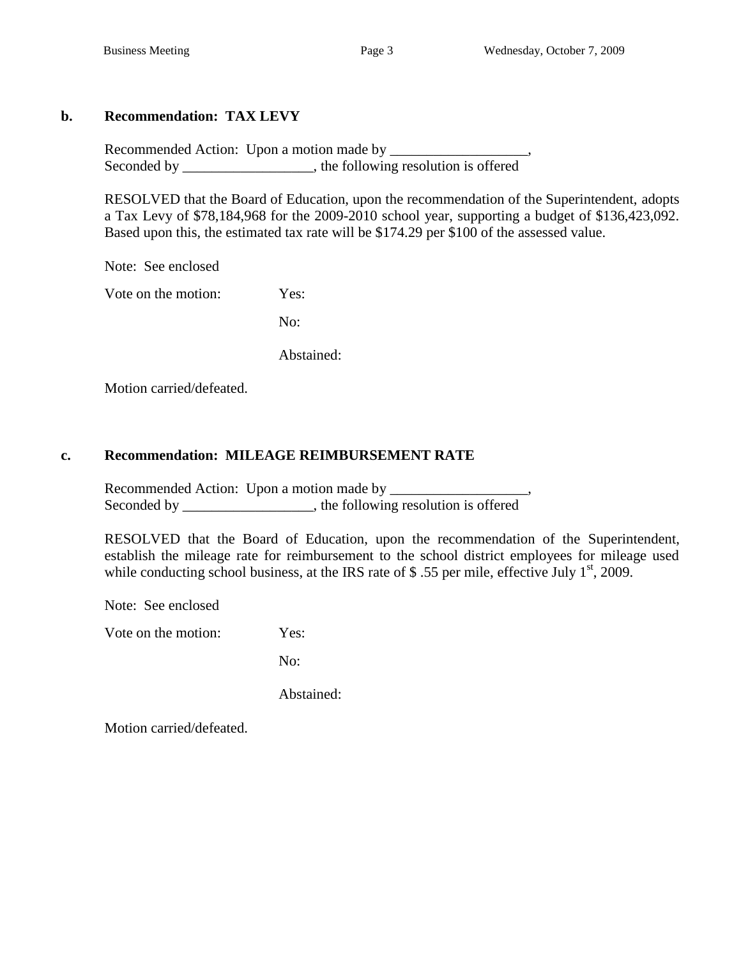## **b. Recommendation: TAX LEVY**

Recommended Action: Upon a motion made by \_\_\_\_\_\_\_\_\_\_\_\_\_\_\_\_\_\_\_, Seconded by \_\_\_\_\_\_\_\_\_\_\_\_\_\_\_, the following resolution is offered

RESOLVED that the Board of Education, upon the recommendation of the Superintendent, adopts a Tax Levy of \$78,184,968 for the 2009-2010 school year, supporting a budget of \$136,423,092. Based upon this, the estimated tax rate will be \$174.29 per \$100 of the assessed value.

Note: See enclosed

Vote on the motion: Yes:

No:

Abstained:

Motion carried/defeated.

## **c. Recommendation: MILEAGE REIMBURSEMENT RATE**

Recommended Action: Upon a motion made by \_\_\_\_\_\_\_\_\_\_\_\_\_\_\_\_\_\_\_, Seconded by \_\_\_\_\_\_\_\_\_\_\_\_\_\_\_, the following resolution is offered

RESOLVED that the Board of Education, upon the recommendation of the Superintendent, establish the mileage rate for reimbursement to the school district employees for mileage used while conducting school business, at the IRS rate of  $$.55$  per mile, effective July 1<sup>st</sup>, 2009.

Note: See enclosed

Vote on the motion: Yes:

No:

Abstained: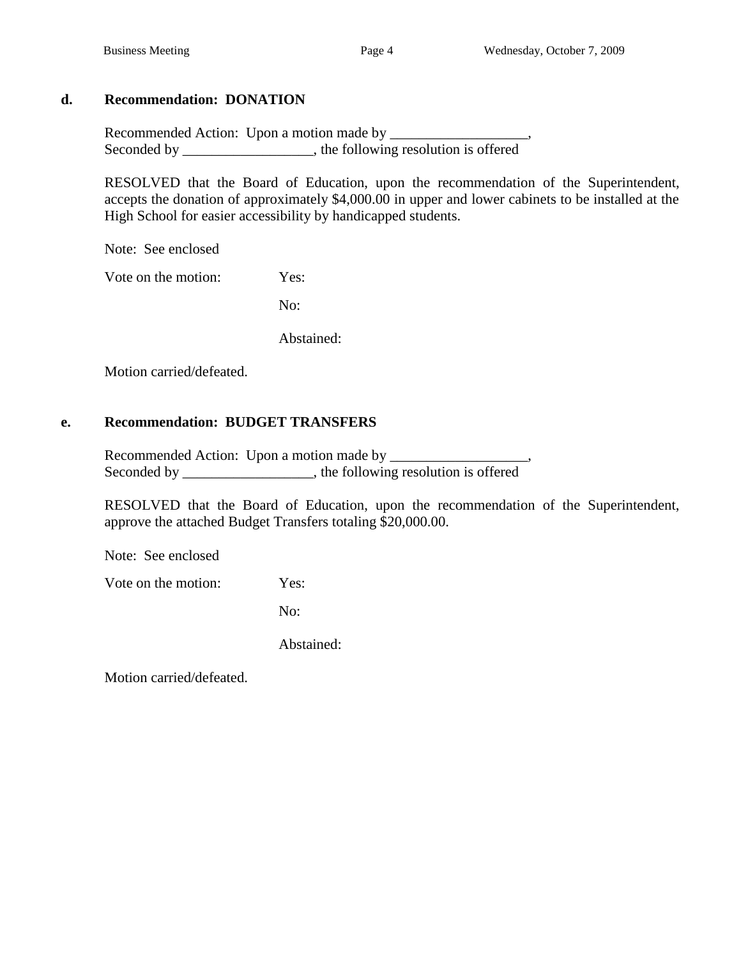## **d. Recommendation: DONATION**

Recommended Action: Upon a motion made by \_\_\_\_\_\_\_\_\_\_\_\_\_\_\_\_\_\_\_, Seconded by \_\_\_\_\_\_\_\_\_\_\_\_\_\_, the following resolution is offered

RESOLVED that the Board of Education, upon the recommendation of the Superintendent, accepts the donation of approximately \$4,000.00 in upper and lower cabinets to be installed at the High School for easier accessibility by handicapped students.

Note: See enclosed

Vote on the motion: Yes:

No:

Abstained:

Motion carried/defeated.

## **e. Recommendation: BUDGET TRANSFERS**

Recommended Action: Upon a motion made by \_\_\_\_\_\_\_\_\_\_\_\_\_\_\_\_\_\_\_, Seconded by \_\_\_\_\_\_\_\_\_\_\_\_\_\_\_\_\_, the following resolution is offered

RESOLVED that the Board of Education, upon the recommendation of the Superintendent, approve the attached Budget Transfers totaling \$20,000.00.

Note: See enclosed

Vote on the motion: Yes:

No:

Abstained: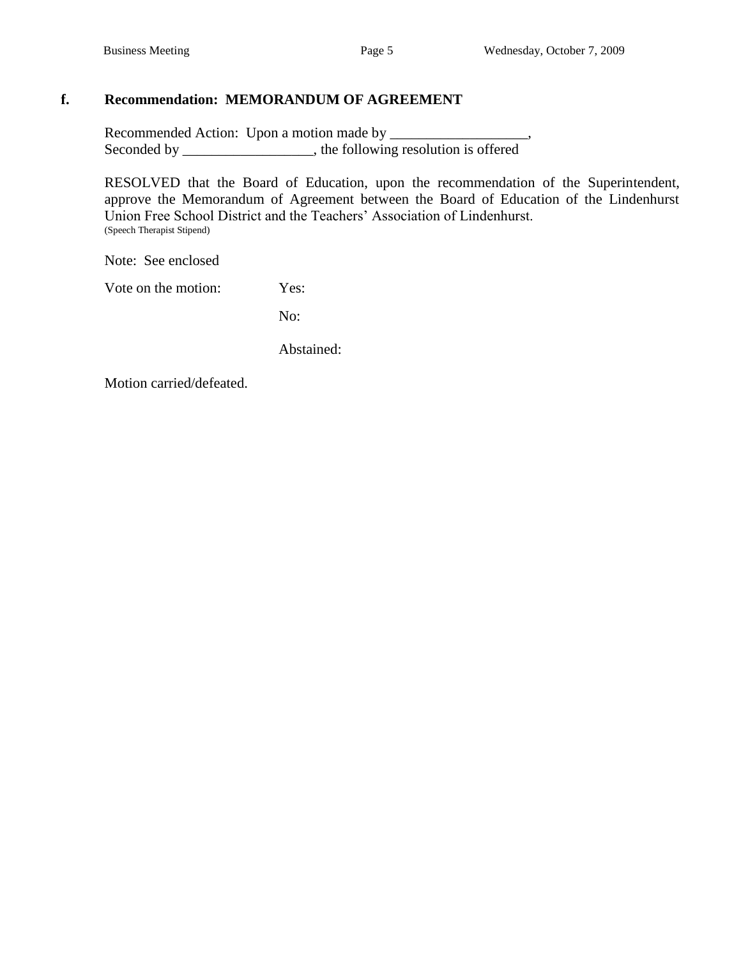## **f. Recommendation: MEMORANDUM OF AGREEMENT**

Recommended Action: Upon a motion made by \_\_\_\_\_\_\_\_\_\_\_\_\_\_\_\_\_\_\_, Seconded by \_\_\_\_\_\_\_\_\_\_\_\_\_, the following resolution is offered

RESOLVED that the Board of Education, upon the recommendation of the Superintendent, approve the Memorandum of Agreement between the Board of Education of the Lindenhurst Union Free School District and the Teachers' Association of Lindenhurst. (Speech Therapist Stipend)

Note: See enclosed

Vote on the motion: Yes:

No:

Abstained: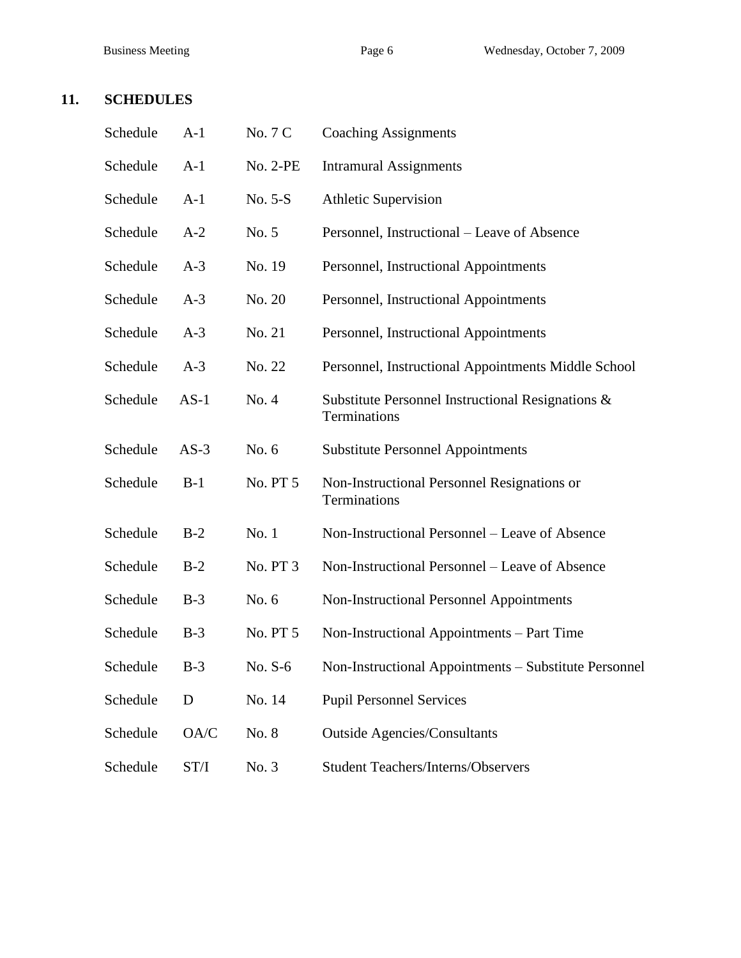## **11. SCHEDULES**

| Schedule | $A-1$  | No. 7 C         | <b>Coaching Assignments</b>                                       |
|----------|--------|-----------------|-------------------------------------------------------------------|
| Schedule | $A-1$  | <b>No. 2-PE</b> | <b>Intramural Assignments</b>                                     |
| Schedule | $A-1$  | No. 5-S         | <b>Athletic Supervision</b>                                       |
| Schedule | $A-2$  | No. 5           | Personnel, Instructional – Leave of Absence                       |
| Schedule | $A-3$  | No. 19          | Personnel, Instructional Appointments                             |
| Schedule | $A-3$  | No. 20          | Personnel, Instructional Appointments                             |
| Schedule | $A-3$  | No. 21          | Personnel, Instructional Appointments                             |
| Schedule | $A-3$  | No. 22          | Personnel, Instructional Appointments Middle School               |
| Schedule | $AS-1$ | No. 4           | Substitute Personnel Instructional Resignations &<br>Terminations |
| Schedule | $AS-3$ | No. 6           | <b>Substitute Personnel Appointments</b>                          |
| Schedule | $B-1$  | No. PT 5        | Non-Instructional Personnel Resignations or<br>Terminations       |
| Schedule | $B-2$  | No. 1           | Non-Instructional Personnel - Leave of Absence                    |
| Schedule | $B-2$  | No. PT 3        | Non-Instructional Personnel – Leave of Absence                    |
| Schedule | $B-3$  | No. 6           | Non-Instructional Personnel Appointments                          |
| Schedule | $B-3$  | No. PT 5        | Non-Instructional Appointments – Part Time                        |
| Schedule | $B-3$  | No. $S-6$       | Non-Instructional Appointments – Substitute Personnel             |
| Schedule | D      | No. 14          | <b>Pupil Personnel Services</b>                                   |
| Schedule | OA/C   | No. 8           | <b>Outside Agencies/Consultants</b>                               |
| Schedule | ST/I   | No. 3           | <b>Student Teachers/Interns/Observers</b>                         |